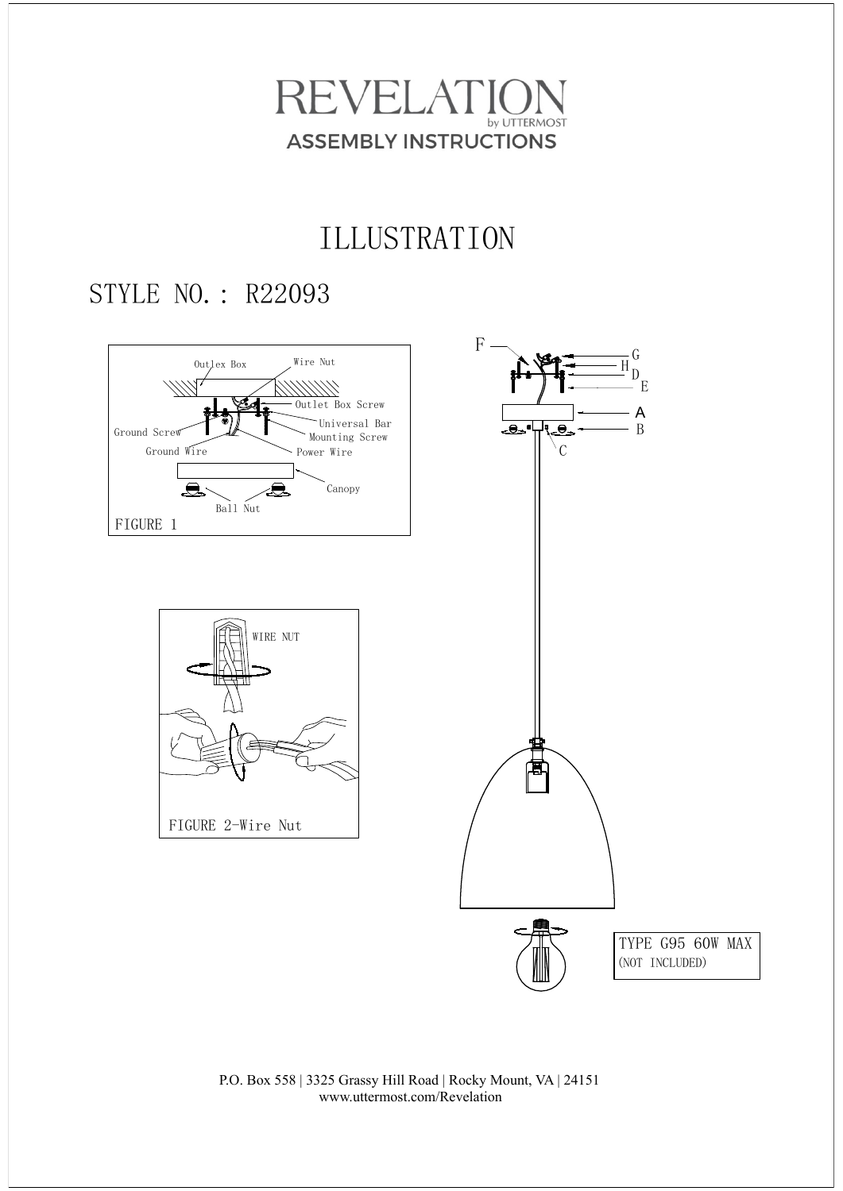

## ILLUSTRATION

### STYLE NO.: R22093



P.O. Box 558 | 3325 Grassy Hill Road | Rocky Mount, VA | 24151 www.uttermost.com/Revelation